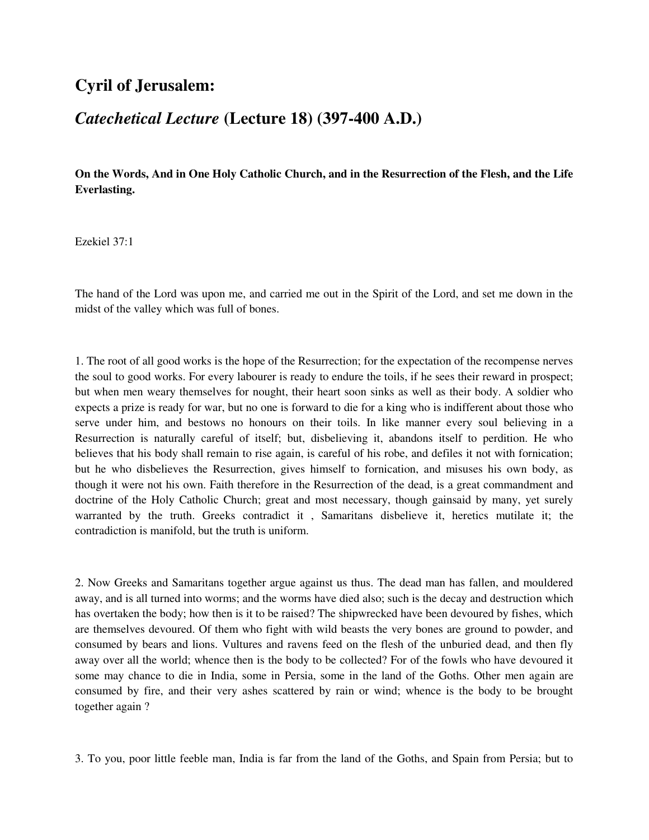## **Cyril of Jerusalem:**

## *Catechetical Lecture* **(Lecture 18) (397-400 A.D.)**

**On the Words, And in One Holy Catholic Church, and in the Resurrection of the Flesh, and the Life Everlasting.** 

Ezekiel 37:1

The hand of the Lord was upon me, and carried me out in the Spirit of the Lord, and set me down in the midst of the valley which was full of bones.

1. The root of all good works is the hope of the Resurrection; for the expectation of the recompense nerves the soul to good works. For every labourer is ready to endure the toils, if he sees their reward in prospect; but when men weary themselves for nought, their heart soon sinks as well as their body. A soldier who expects a prize is ready for war, but no one is forward to die for a king who is indifferent about those who serve under him, and bestows no honours on their toils. In like manner every soul believing in a Resurrection is naturally careful of itself; but, disbelieving it, abandons itself to perdition. He who believes that his body shall remain to rise again, is careful of his robe, and defiles it not with fornication; but he who disbelieves the Resurrection, gives himself to fornication, and misuses his own body, as though it were not his own. Faith therefore in the Resurrection of the dead, is a great commandment and doctrine of the Holy Catholic Church; great and most necessary, though gainsaid by many, yet surely warranted by the truth. Greeks contradict it , Samaritans disbelieve it, heretics mutilate it; the contradiction is manifold, but the truth is uniform.

2. Now Greeks and Samaritans together argue against us thus. The dead man has fallen, and mouldered away, and is all turned into worms; and the worms have died also; such is the decay and destruction which has overtaken the body; how then is it to be raised? The shipwrecked have been devoured by fishes, which are themselves devoured. Of them who fight with wild beasts the very bones are ground to powder, and consumed by bears and lions. Vultures and ravens feed on the flesh of the unburied dead, and then fly away over all the world; whence then is the body to be collected? For of the fowls who have devoured it some may chance to die in India, some in Persia, some in the land of the Goths. Other men again are consumed by fire, and their very ashes scattered by rain or wind; whence is the body to be brought together again ?

3. To you, poor little feeble man, India is far from the land of the Goths, and Spain from Persia; but to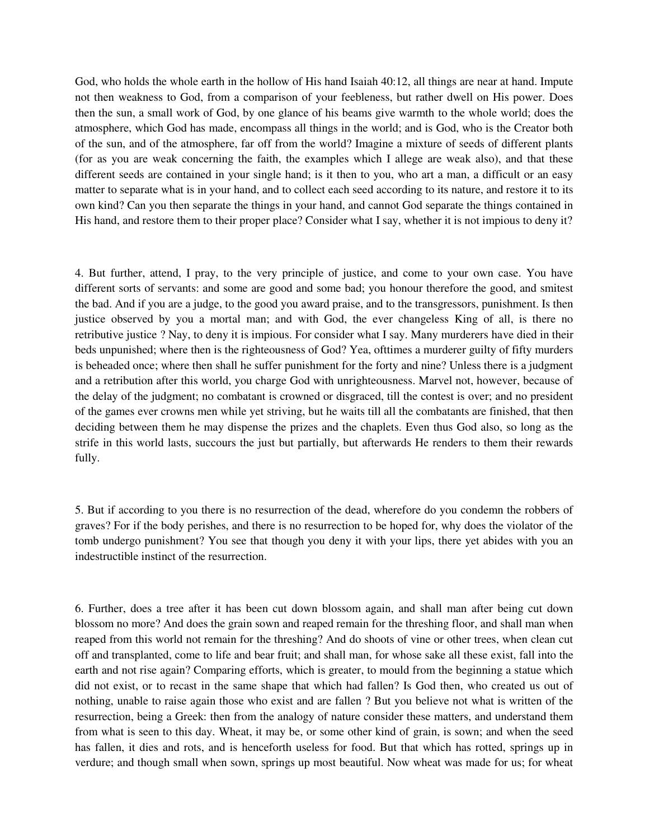God, who holds the whole earth in the hollow of His hand Isaiah 40:12, all things are near at hand. Impute not then weakness to God, from a comparison of your feebleness, but rather dwell on His power. Does then the sun, a small work of God, by one glance of his beams give warmth to the whole world; does the atmosphere, which God has made, encompass all things in the world; and is God, who is the Creator both of the sun, and of the atmosphere, far off from the world? Imagine a mixture of seeds of different plants (for as you are weak concerning the faith, the examples which I allege are weak also), and that these different seeds are contained in your single hand; is it then to you, who art a man, a difficult or an easy matter to separate what is in your hand, and to collect each seed according to its nature, and restore it to its own kind? Can you then separate the things in your hand, and cannot God separate the things contained in His hand, and restore them to their proper place? Consider what I say, whether it is not impious to deny it?

4. But further, attend, I pray, to the very principle of justice, and come to your own case. You have different sorts of servants: and some are good and some bad; you honour therefore the good, and smitest the bad. And if you are a judge, to the good you award praise, and to the transgressors, punishment. Is then justice observed by you a mortal man; and with God, the ever changeless King of all, is there no retributive justice ? Nay, to deny it is impious. For consider what I say. Many murderers have died in their beds unpunished; where then is the righteousness of God? Yea, ofttimes a murderer guilty of fifty murders is beheaded once; where then shall he suffer punishment for the forty and nine? Unless there is a judgment and a retribution after this world, you charge God with unrighteousness. Marvel not, however, because of the delay of the judgment; no combatant is crowned or disgraced, till the contest is over; and no president of the games ever crowns men while yet striving, but he waits till all the combatants are finished, that then deciding between them he may dispense the prizes and the chaplets. Even thus God also, so long as the strife in this world lasts, succours the just but partially, but afterwards He renders to them their rewards fully.

5. But if according to you there is no resurrection of the dead, wherefore do you condemn the robbers of graves? For if the body perishes, and there is no resurrection to be hoped for, why does the violator of the tomb undergo punishment? You see that though you deny it with your lips, there yet abides with you an indestructible instinct of the resurrection.

6. Further, does a tree after it has been cut down blossom again, and shall man after being cut down blossom no more? And does the grain sown and reaped remain for the threshing floor, and shall man when reaped from this world not remain for the threshing? And do shoots of vine or other trees, when clean cut off and transplanted, come to life and bear fruit; and shall man, for whose sake all these exist, fall into the earth and not rise again? Comparing efforts, which is greater, to mould from the beginning a statue which did not exist, or to recast in the same shape that which had fallen? Is God then, who created us out of nothing, unable to raise again those who exist and are fallen ? But you believe not what is written of the resurrection, being a Greek: then from the analogy of nature consider these matters, and understand them from what is seen to this day. Wheat, it may be, or some other kind of grain, is sown; and when the seed has fallen, it dies and rots, and is henceforth useless for food. But that which has rotted, springs up in verdure; and though small when sown, springs up most beautiful. Now wheat was made for us; for wheat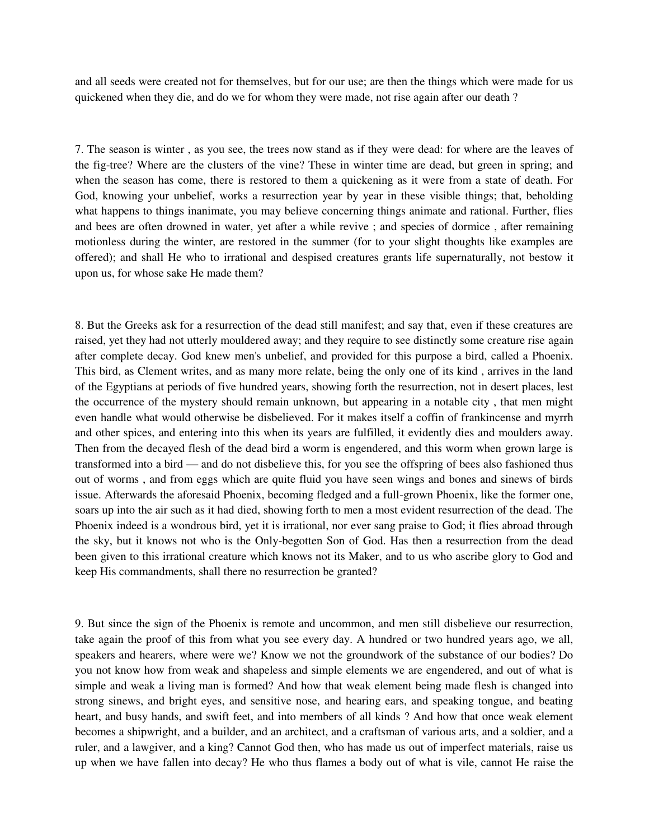and all seeds were created not for themselves, but for our use; are then the things which were made for us quickened when they die, and do we for whom they were made, not rise again after our death ?

7. The season is winter , as you see, the trees now stand as if they were dead: for where are the leaves of the fig-tree? Where are the clusters of the vine? These in winter time are dead, but green in spring; and when the season has come, there is restored to them a quickening as it were from a state of death. For God, knowing your unbelief, works a resurrection year by year in these visible things; that, beholding what happens to things inanimate, you may believe concerning things animate and rational. Further, flies and bees are often drowned in water, yet after a while revive ; and species of dormice , after remaining motionless during the winter, are restored in the summer (for to your slight thoughts like examples are offered); and shall He who to irrational and despised creatures grants life supernaturally, not bestow it upon us, for whose sake He made them?

8. But the Greeks ask for a resurrection of the dead still manifest; and say that, even if these creatures are raised, yet they had not utterly mouldered away; and they require to see distinctly some creature rise again after complete decay. God knew men's unbelief, and provided for this purpose a bird, called a Phoenix. This bird, as Clement writes, and as many more relate, being the only one of its kind , arrives in the land of the Egyptians at periods of five hundred years, showing forth the resurrection, not in desert places, lest the occurrence of the mystery should remain unknown, but appearing in a notable city , that men might even handle what would otherwise be disbelieved. For it makes itself a coffin of frankincense and myrrh and other spices, and entering into this when its years are fulfilled, it evidently dies and moulders away. Then from the decayed flesh of the dead bird a worm is engendered, and this worm when grown large is transformed into a bird — and do not disbelieve this, for you see the offspring of bees also fashioned thus out of worms , and from eggs which are quite fluid you have seen wings and bones and sinews of birds issue. Afterwards the aforesaid Phoenix, becoming fledged and a full-grown Phoenix, like the former one, soars up into the air such as it had died, showing forth to men a most evident resurrection of the dead. The Phoenix indeed is a wondrous bird, yet it is irrational, nor ever sang praise to God; it flies abroad through the sky, but it knows not who is the Only-begotten Son of God. Has then a resurrection from the dead been given to this irrational creature which knows not its Maker, and to us who ascribe glory to God and keep His commandments, shall there no resurrection be granted?

9. But since the sign of the Phoenix is remote and uncommon, and men still disbelieve our resurrection, take again the proof of this from what you see every day. A hundred or two hundred years ago, we all, speakers and hearers, where were we? Know we not the groundwork of the substance of our bodies? Do you not know how from weak and shapeless and simple elements we are engendered, and out of what is simple and weak a living man is formed? And how that weak element being made flesh is changed into strong sinews, and bright eyes, and sensitive nose, and hearing ears, and speaking tongue, and beating heart, and busy hands, and swift feet, and into members of all kinds ? And how that once weak element becomes a shipwright, and a builder, and an architect, and a craftsman of various arts, and a soldier, and a ruler, and a lawgiver, and a king? Cannot God then, who has made us out of imperfect materials, raise us up when we have fallen into decay? He who thus flames a body out of what is vile, cannot He raise the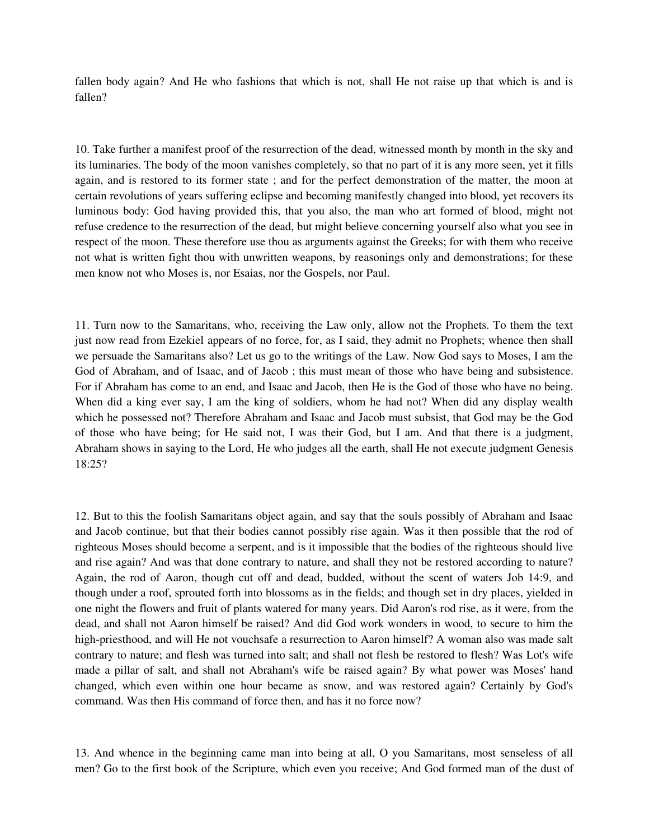fallen body again? And He who fashions that which is not, shall He not raise up that which is and is fallen?

10. Take further a manifest proof of the resurrection of the dead, witnessed month by month in the sky and its luminaries. The body of the moon vanishes completely, so that no part of it is any more seen, yet it fills again, and is restored to its former state ; and for the perfect demonstration of the matter, the moon at certain revolutions of years suffering eclipse and becoming manifestly changed into blood, yet recovers its luminous body: God having provided this, that you also, the man who art formed of blood, might not refuse credence to the resurrection of the dead, but might believe concerning yourself also what you see in respect of the moon. These therefore use thou as arguments against the Greeks; for with them who receive not what is written fight thou with unwritten weapons, by reasonings only and demonstrations; for these men know not who Moses is, nor Esaias, nor the Gospels, nor Paul.

11. Turn now to the Samaritans, who, receiving the Law only, allow not the Prophets. To them the text just now read from Ezekiel appears of no force, for, as I said, they admit no Prophets; whence then shall we persuade the Samaritans also? Let us go to the writings of the Law. Now God says to Moses, I am the God of Abraham, and of Isaac, and of Jacob ; this must mean of those who have being and subsistence. For if Abraham has come to an end, and Isaac and Jacob, then He is the God of those who have no being. When did a king ever say, I am the king of soldiers, whom he had not? When did any display wealth which he possessed not? Therefore Abraham and Isaac and Jacob must subsist, that God may be the God of those who have being; for He said not, I was their God, but I am. And that there is a judgment, Abraham shows in saying to the Lord, He who judges all the earth, shall He not execute judgment Genesis 18:25?

12. But to this the foolish Samaritans object again, and say that the souls possibly of Abraham and Isaac and Jacob continue, but that their bodies cannot possibly rise again. Was it then possible that the rod of righteous Moses should become a serpent, and is it impossible that the bodies of the righteous should live and rise again? And was that done contrary to nature, and shall they not be restored according to nature? Again, the rod of Aaron, though cut off and dead, budded, without the scent of waters Job 14:9, and though under a roof, sprouted forth into blossoms as in the fields; and though set in dry places, yielded in one night the flowers and fruit of plants watered for many years. Did Aaron's rod rise, as it were, from the dead, and shall not Aaron himself be raised? And did God work wonders in wood, to secure to him the high-priesthood, and will He not vouchsafe a resurrection to Aaron himself? A woman also was made salt contrary to nature; and flesh was turned into salt; and shall not flesh be restored to flesh? Was Lot's wife made a pillar of salt, and shall not Abraham's wife be raised again? By what power was Moses' hand changed, which even within one hour became as snow, and was restored again? Certainly by God's command. Was then His command of force then, and has it no force now?

13. And whence in the beginning came man into being at all, O you Samaritans, most senseless of all men? Go to the first book of the Scripture, which even you receive; And God formed man of the dust of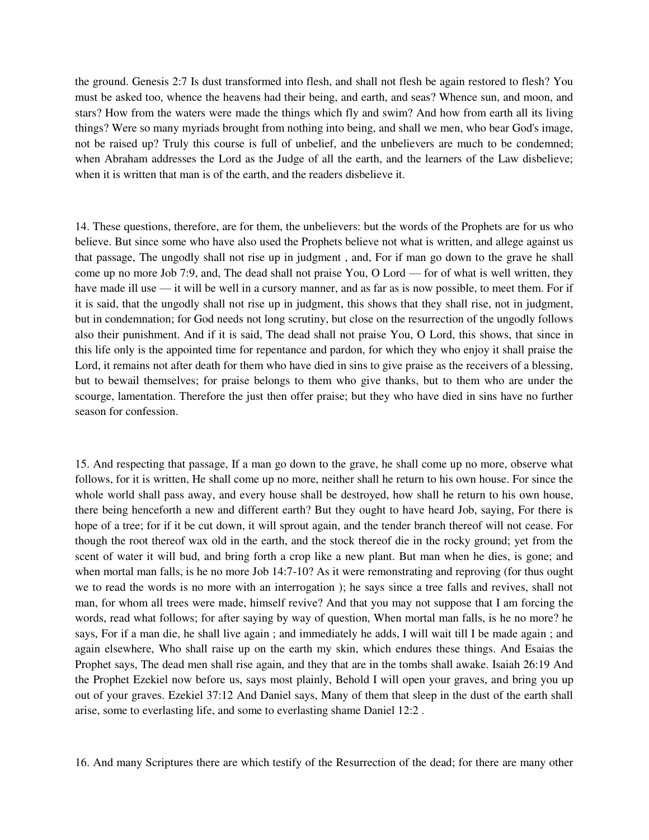the ground. Genesis 2:7 Is dust transformed into flesh, and shall not flesh be again restored to flesh? You must be asked too, whence the heavens had their being, and earth, and seas? Whence sun, and moon, and stars? How from the waters were made the things which fly and swim? And how from earth all its living things? Were so many myriads brought from nothing into being, and shall we men, who bear God's image, not be raised up? Truly this course is full of unbelief, and the unbelievers are much to be condemned; when Abraham addresses the Lord as the Judge of all the earth, and the learners of the Law disbelieve; when it is written that man is of the earth, and the readers disbelieve it.

14. These questions, therefore, are for them, the unbelievers: but the words of the Prophets are for us who believe. But since some who have also used the Prophets believe not what is written, and allege against us that passage, The ungodly shall not rise up in judgment , and, For if man go down to the grave he shall come up no more Job 7:9, and, The dead shall not praise You, O Lord — for of what is well written, they have made ill use — it will be well in a cursory manner, and as far as is now possible, to meet them. For if it is said, that the ungodly shall not rise up in judgment, this shows that they shall rise, not in judgment, but in condemnation; for God needs not long scrutiny, but close on the resurrection of the ungodly follows also their punishment. And if it is said, The dead shall not praise You, O Lord, this shows, that since in this life only is the appointed time for repentance and pardon, for which they who enjoy it shall praise the Lord, it remains not after death for them who have died in sins to give praise as the receivers of a blessing, but to bewail themselves; for praise belongs to them who give thanks, but to them who are under the scourge, lamentation. Therefore the just then offer praise; but they who have died in sins have no further season for confession.

15. And respecting that passage, If a man go down to the grave, he shall come up no more, observe what follows, for it is written, He shall come up no more, neither shall he return to his own house. For since the whole world shall pass away, and every house shall be destroyed, how shall he return to his own house, there being henceforth a new and different earth? But they ought to have heard Job, saying, For there is hope of a tree; for if it be cut down, it will sprout again, and the tender branch thereof will not cease. For though the root thereof wax old in the earth, and the stock thereof die in the rocky ground; yet from the scent of water it will bud, and bring forth a crop like a new plant. But man when he dies, is gone; and when mortal man falls, is he no more Job 14:7-10? As it were remonstrating and reproving (for thus ought we to read the words is no more with an interrogation ); he says since a tree falls and revives, shall not man, for whom all trees were made, himself revive? And that you may not suppose that I am forcing the words, read what follows; for after saying by way of question, When mortal man falls, is he no more? he says, For if a man die, he shall live again ; and immediately he adds, I will wait till I be made again ; and again elsewhere, Who shall raise up on the earth my skin, which endures these things. And Esaias the Prophet says, The dead men shall rise again, and they that are in the tombs shall awake. Isaiah 26:19 And the Prophet Ezekiel now before us, says most plainly, Behold I will open your graves, and bring you up out of your graves. Ezekiel 37:12 And Daniel says, Many of them that sleep in the dust of the earth shall arise, some to everlasting life, and some to everlasting shame Daniel 12:2 .

16. And many Scriptures there are which testify of the Resurrection of the dead; for there are many other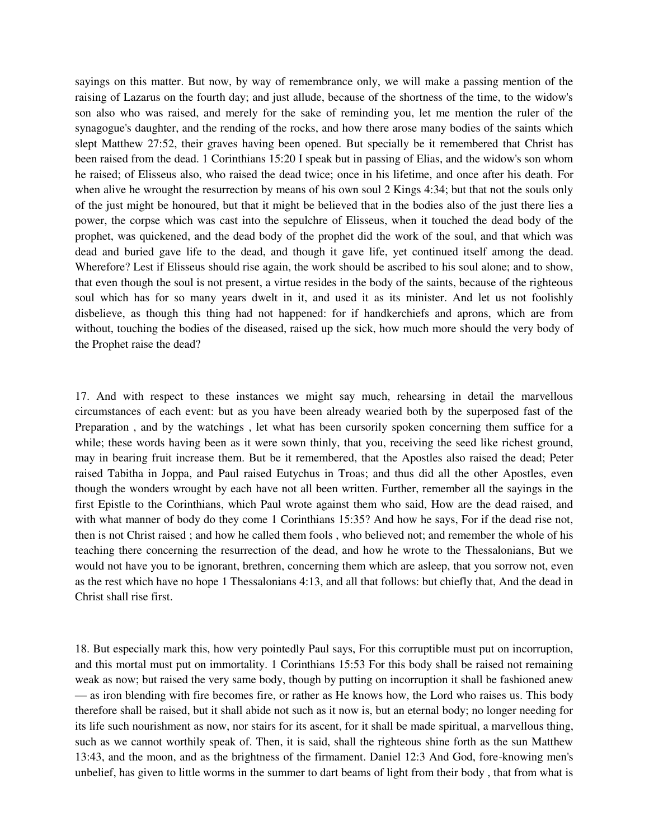sayings on this matter. But now, by way of remembrance only, we will make a passing mention of the raising of Lazarus on the fourth day; and just allude, because of the shortness of the time, to the widow's son also who was raised, and merely for the sake of reminding you, let me mention the ruler of the synagogue's daughter, and the rending of the rocks, and how there arose many bodies of the saints which slept Matthew 27:52, their graves having been opened. But specially be it remembered that Christ has been raised from the dead. 1 Corinthians 15:20 I speak but in passing of Elias, and the widow's son whom he raised; of Elisseus also, who raised the dead twice; once in his lifetime, and once after his death. For when alive he wrought the resurrection by means of his own soul 2 Kings 4:34; but that not the souls only of the just might be honoured, but that it might be believed that in the bodies also of the just there lies a power, the corpse which was cast into the sepulchre of Elisseus, when it touched the dead body of the prophet, was quickened, and the dead body of the prophet did the work of the soul, and that which was dead and buried gave life to the dead, and though it gave life, yet continued itself among the dead. Wherefore? Lest if Elisseus should rise again, the work should be ascribed to his soul alone; and to show, that even though the soul is not present, a virtue resides in the body of the saints, because of the righteous soul which has for so many years dwelt in it, and used it as its minister. And let us not foolishly disbelieve, as though this thing had not happened: for if handkerchiefs and aprons, which are from without, touching the bodies of the diseased, raised up the sick, how much more should the very body of the Prophet raise the dead?

17. And with respect to these instances we might say much, rehearsing in detail the marvellous circumstances of each event: but as you have been already wearied both by the superposed fast of the Preparation , and by the watchings , let what has been cursorily spoken concerning them suffice for a while; these words having been as it were sown thinly, that you, receiving the seed like richest ground, may in bearing fruit increase them. But be it remembered, that the Apostles also raised the dead; Peter raised Tabitha in Joppa, and Paul raised Eutychus in Troas; and thus did all the other Apostles, even though the wonders wrought by each have not all been written. Further, remember all the sayings in the first Epistle to the Corinthians, which Paul wrote against them who said, How are the dead raised, and with what manner of body do they come 1 Corinthians 15:35? And how he says, For if the dead rise not, then is not Christ raised ; and how he called them fools , who believed not; and remember the whole of his teaching there concerning the resurrection of the dead, and how he wrote to the Thessalonians, But we would not have you to be ignorant, brethren, concerning them which are asleep, that you sorrow not, even as the rest which have no hope 1 Thessalonians 4:13, and all that follows: but chiefly that, And the dead in Christ shall rise first.

18. But especially mark this, how very pointedly Paul says, For this corruptible must put on incorruption, and this mortal must put on immortality. 1 Corinthians 15:53 For this body shall be raised not remaining weak as now; but raised the very same body, though by putting on incorruption it shall be fashioned anew — as iron blending with fire becomes fire, or rather as He knows how, the Lord who raises us. This body therefore shall be raised, but it shall abide not such as it now is, but an eternal body; no longer needing for its life such nourishment as now, nor stairs for its ascent, for it shall be made spiritual, a marvellous thing, such as we cannot worthily speak of. Then, it is said, shall the righteous shine forth as the sun Matthew 13:43, and the moon, and as the brightness of the firmament. Daniel 12:3 And God, fore-knowing men's unbelief, has given to little worms in the summer to dart beams of light from their body , that from what is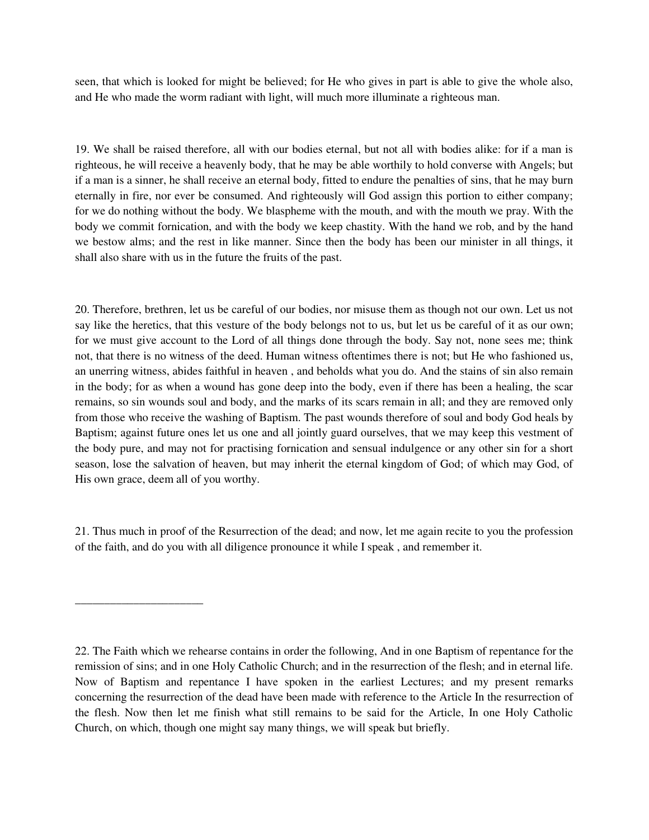seen, that which is looked for might be believed; for He who gives in part is able to give the whole also, and He who made the worm radiant with light, will much more illuminate a righteous man.

19. We shall be raised therefore, all with our bodies eternal, but not all with bodies alike: for if a man is righteous, he will receive a heavenly body, that he may be able worthily to hold converse with Angels; but if a man is a sinner, he shall receive an eternal body, fitted to endure the penalties of sins, that he may burn eternally in fire, nor ever be consumed. And righteously will God assign this portion to either company; for we do nothing without the body. We blaspheme with the mouth, and with the mouth we pray. With the body we commit fornication, and with the body we keep chastity. With the hand we rob, and by the hand we bestow alms; and the rest in like manner. Since then the body has been our minister in all things, it shall also share with us in the future the fruits of the past.

20. Therefore, brethren, let us be careful of our bodies, nor misuse them as though not our own. Let us not say like the heretics, that this vesture of the body belongs not to us, but let us be careful of it as our own; for we must give account to the Lord of all things done through the body. Say not, none sees me; think not, that there is no witness of the deed. Human witness oftentimes there is not; but He who fashioned us, an unerring witness, abides faithful in heaven , and beholds what you do. And the stains of sin also remain in the body; for as when a wound has gone deep into the body, even if there has been a healing, the scar remains, so sin wounds soul and body, and the marks of its scars remain in all; and they are removed only from those who receive the washing of Baptism. The past wounds therefore of soul and body God heals by Baptism; against future ones let us one and all jointly guard ourselves, that we may keep this vestment of the body pure, and may not for practising fornication and sensual indulgence or any other sin for a short season, lose the salvation of heaven, but may inherit the eternal kingdom of God; of which may God, of His own grace, deem all of you worthy.

21. Thus much in proof of the Resurrection of the dead; and now, let me again recite to you the profession of the faith, and do you with all diligence pronounce it while I speak , and remember it.

\_\_\_\_\_\_\_\_\_\_\_\_\_\_\_\_\_\_\_\_\_\_

<sup>22.</sup> The Faith which we rehearse contains in order the following, And in one Baptism of repentance for the remission of sins; and in one Holy Catholic Church; and in the resurrection of the flesh; and in eternal life. Now of Baptism and repentance I have spoken in the earliest Lectures; and my present remarks concerning the resurrection of the dead have been made with reference to the Article In the resurrection of the flesh. Now then let me finish what still remains to be said for the Article, In one Holy Catholic Church, on which, though one might say many things, we will speak but briefly.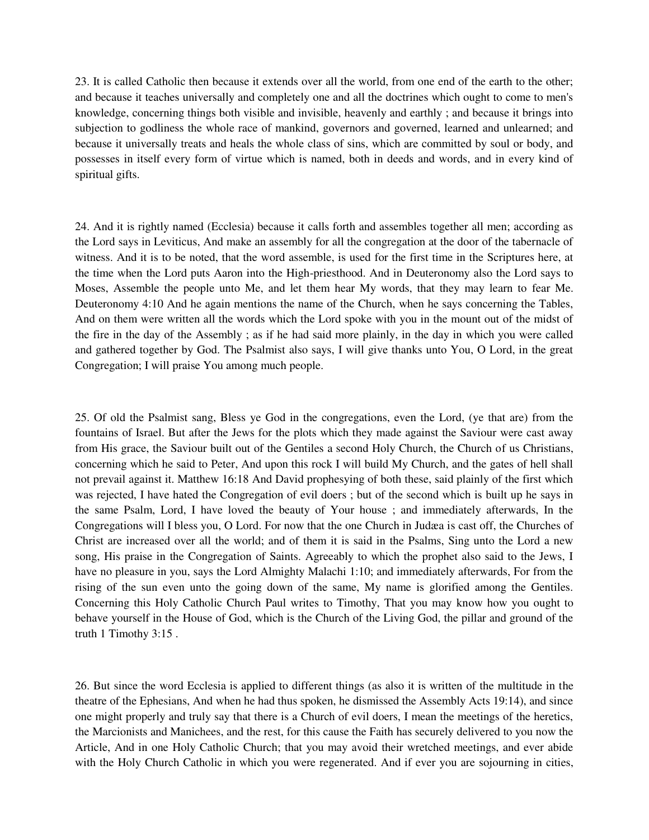23. It is called Catholic then because it extends over all the world, from one end of the earth to the other; and because it teaches universally and completely one and all the doctrines which ought to come to men's knowledge, concerning things both visible and invisible, heavenly and earthly ; and because it brings into subjection to godliness the whole race of mankind, governors and governed, learned and unlearned; and because it universally treats and heals the whole class of sins, which are committed by soul or body, and possesses in itself every form of virtue which is named, both in deeds and words, and in every kind of spiritual gifts.

24. And it is rightly named (Ecclesia) because it calls forth and assembles together all men; according as the Lord says in Leviticus, And make an assembly for all the congregation at the door of the tabernacle of witness. And it is to be noted, that the word assemble, is used for the first time in the Scriptures here, at the time when the Lord puts Aaron into the High-priesthood. And in Deuteronomy also the Lord says to Moses, Assemble the people unto Me, and let them hear My words, that they may learn to fear Me. Deuteronomy 4:10 And he again mentions the name of the Church, when he says concerning the Tables, And on them were written all the words which the Lord spoke with you in the mount out of the midst of the fire in the day of the Assembly ; as if he had said more plainly, in the day in which you were called and gathered together by God. The Psalmist also says, I will give thanks unto You, O Lord, in the great Congregation; I will praise You among much people.

25. Of old the Psalmist sang, Bless ye God in the congregations, even the Lord, (ye that are) from the fountains of Israel. But after the Jews for the plots which they made against the Saviour were cast away from His grace, the Saviour built out of the Gentiles a second Holy Church, the Church of us Christians, concerning which he said to Peter, And upon this rock I will build My Church, and the gates of hell shall not prevail against it. Matthew 16:18 And David prophesying of both these, said plainly of the first which was rejected, I have hated the Congregation of evil doers ; but of the second which is built up he says in the same Psalm, Lord, I have loved the beauty of Your house ; and immediately afterwards, In the Congregations will I bless you, O Lord. For now that the one Church in Judæa is cast off, the Churches of Christ are increased over all the world; and of them it is said in the Psalms, Sing unto the Lord a new song, His praise in the Congregation of Saints. Agreeably to which the prophet also said to the Jews, I have no pleasure in you, says the Lord Almighty Malachi 1:10; and immediately afterwards, For from the rising of the sun even unto the going down of the same, My name is glorified among the Gentiles. Concerning this Holy Catholic Church Paul writes to Timothy, That you may know how you ought to behave yourself in the House of God, which is the Church of the Living God, the pillar and ground of the truth 1 Timothy 3:15 .

26. But since the word Ecclesia is applied to different things (as also it is written of the multitude in the theatre of the Ephesians, And when he had thus spoken, he dismissed the Assembly Acts 19:14), and since one might properly and truly say that there is a Church of evil doers, I mean the meetings of the heretics, the Marcionists and Manichees, and the rest, for this cause the Faith has securely delivered to you now the Article, And in one Holy Catholic Church; that you may avoid their wretched meetings, and ever abide with the Holy Church Catholic in which you were regenerated. And if ever you are sojourning in cities,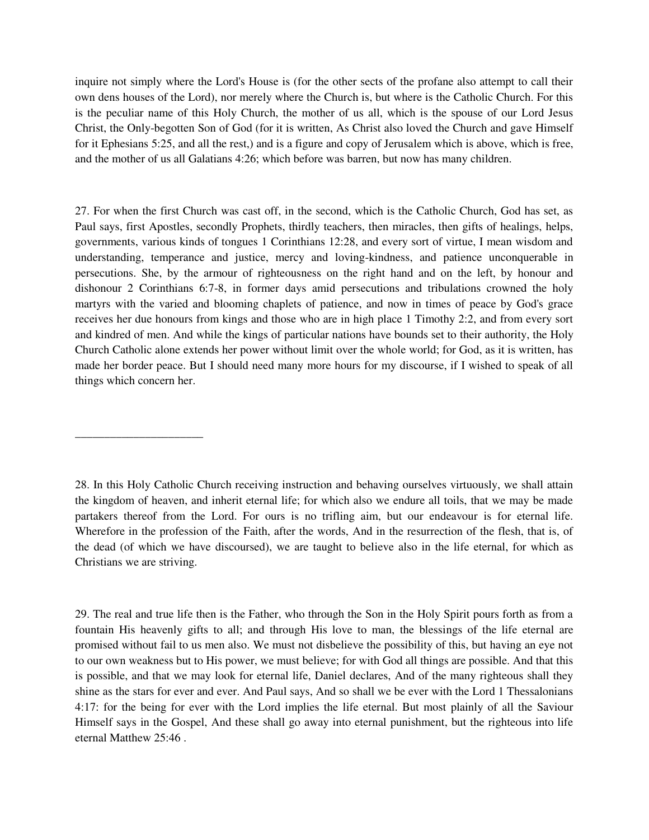inquire not simply where the Lord's House is (for the other sects of the profane also attempt to call their own dens houses of the Lord), nor merely where the Church is, but where is the Catholic Church. For this is the peculiar name of this Holy Church, the mother of us all, which is the spouse of our Lord Jesus Christ, the Only-begotten Son of God (for it is written, As Christ also loved the Church and gave Himself for it Ephesians 5:25, and all the rest,) and is a figure and copy of Jerusalem which is above, which is free, and the mother of us all Galatians 4:26; which before was barren, but now has many children.

27. For when the first Church was cast off, in the second, which is the Catholic Church, God has set, as Paul says, first Apostles, secondly Prophets, thirdly teachers, then miracles, then gifts of healings, helps, governments, various kinds of tongues 1 Corinthians 12:28, and every sort of virtue, I mean wisdom and understanding, temperance and justice, mercy and loving-kindness, and patience unconquerable in persecutions. She, by the armour of righteousness on the right hand and on the left, by honour and dishonour 2 Corinthians 6:7-8, in former days amid persecutions and tribulations crowned the holy martyrs with the varied and blooming chaplets of patience, and now in times of peace by God's grace receives her due honours from kings and those who are in high place 1 Timothy 2:2, and from every sort and kindred of men. And while the kings of particular nations have bounds set to their authority, the Holy Church Catholic alone extends her power without limit over the whole world; for God, as it is written, has made her border peace. But I should need many more hours for my discourse, if I wished to speak of all things which concern her.

\_\_\_\_\_\_\_\_\_\_\_\_\_\_\_\_\_\_\_\_\_\_

<sup>28.</sup> In this Holy Catholic Church receiving instruction and behaving ourselves virtuously, we shall attain the kingdom of heaven, and inherit eternal life; for which also we endure all toils, that we may be made partakers thereof from the Lord. For ours is no trifling aim, but our endeavour is for eternal life. Wherefore in the profession of the Faith, after the words, And in the resurrection of the flesh, that is, of the dead (of which we have discoursed), we are taught to believe also in the life eternal, for which as Christians we are striving.

<sup>29.</sup> The real and true life then is the Father, who through the Son in the Holy Spirit pours forth as from a fountain His heavenly gifts to all; and through His love to man, the blessings of the life eternal are promised without fail to us men also. We must not disbelieve the possibility of this, but having an eye not to our own weakness but to His power, we must believe; for with God all things are possible. And that this is possible, and that we may look for eternal life, Daniel declares, And of the many righteous shall they shine as the stars for ever and ever. And Paul says, And so shall we be ever with the Lord 1 Thessalonians 4:17: for the being for ever with the Lord implies the life eternal. But most plainly of all the Saviour Himself says in the Gospel, And these shall go away into eternal punishment, but the righteous into life eternal Matthew 25:46 .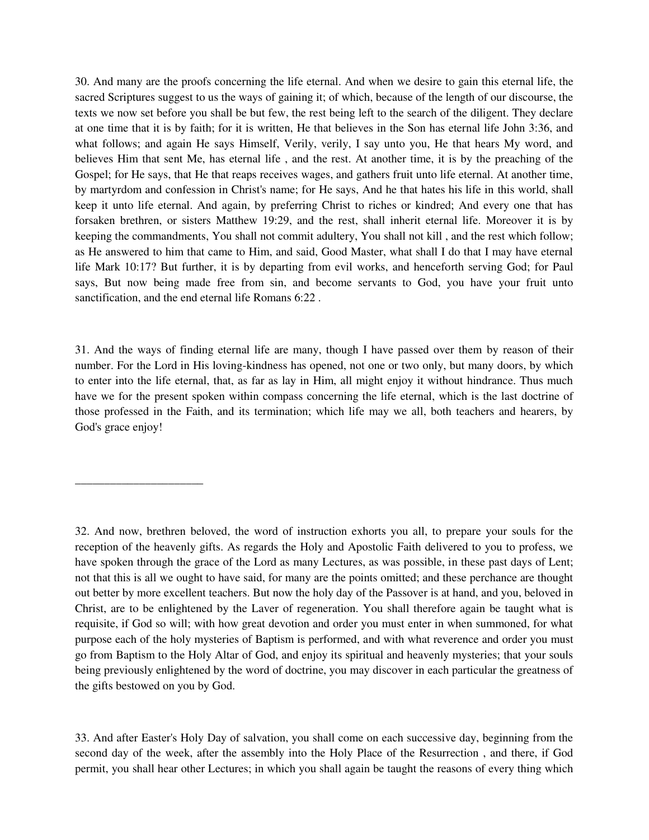30. And many are the proofs concerning the life eternal. And when we desire to gain this eternal life, the sacred Scriptures suggest to us the ways of gaining it; of which, because of the length of our discourse, the texts we now set before you shall be but few, the rest being left to the search of the diligent. They declare at one time that it is by faith; for it is written, He that believes in the Son has eternal life John 3:36, and what follows; and again He says Himself, Verily, verily, I say unto you, He that hears My word, and believes Him that sent Me, has eternal life , and the rest. At another time, it is by the preaching of the Gospel; for He says, that He that reaps receives wages, and gathers fruit unto life eternal. At another time, by martyrdom and confession in Christ's name; for He says, And he that hates his life in this world, shall keep it unto life eternal. And again, by preferring Christ to riches or kindred; And every one that has forsaken brethren, or sisters Matthew 19:29, and the rest, shall inherit eternal life. Moreover it is by keeping the commandments, You shall not commit adultery, You shall not kill , and the rest which follow; as He answered to him that came to Him, and said, Good Master, what shall I do that I may have eternal life Mark 10:17? But further, it is by departing from evil works, and henceforth serving God; for Paul says, But now being made free from sin, and become servants to God, you have your fruit unto sanctification, and the end eternal life Romans 6:22 .

31. And the ways of finding eternal life are many, though I have passed over them by reason of their number. For the Lord in His loving-kindness has opened, not one or two only, but many doors, by which to enter into the life eternal, that, as far as lay in Him, all might enjoy it without hindrance. Thus much have we for the present spoken within compass concerning the life eternal, which is the last doctrine of those professed in the Faith, and its termination; which life may we all, both teachers and hearers, by God's grace enjoy!

\_\_\_\_\_\_\_\_\_\_\_\_\_\_\_\_\_\_\_\_\_\_

33. And after Easter's Holy Day of salvation, you shall come on each successive day, beginning from the second day of the week, after the assembly into the Holy Place of the Resurrection , and there, if God permit, you shall hear other Lectures; in which you shall again be taught the reasons of every thing which

<sup>32.</sup> And now, brethren beloved, the word of instruction exhorts you all, to prepare your souls for the reception of the heavenly gifts. As regards the Holy and Apostolic Faith delivered to you to profess, we have spoken through the grace of the Lord as many Lectures, as was possible, in these past days of Lent; not that this is all we ought to have said, for many are the points omitted; and these perchance are thought out better by more excellent teachers. But now the holy day of the Passover is at hand, and you, beloved in Christ, are to be enlightened by the Laver of regeneration. You shall therefore again be taught what is requisite, if God so will; with how great devotion and order you must enter in when summoned, for what purpose each of the holy mysteries of Baptism is performed, and with what reverence and order you must go from Baptism to the Holy Altar of God, and enjoy its spiritual and heavenly mysteries; that your souls being previously enlightened by the word of doctrine, you may discover in each particular the greatness of the gifts bestowed on you by God.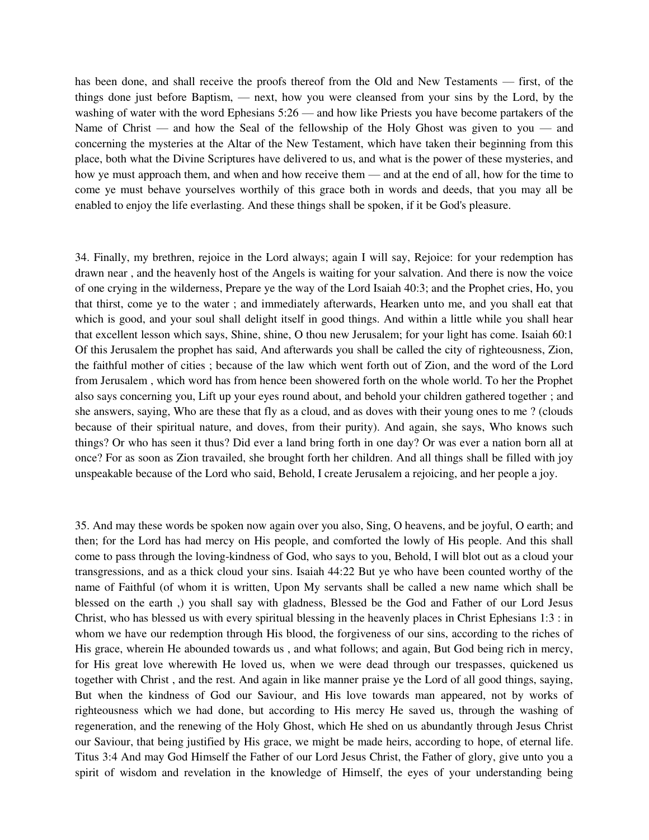has been done, and shall receive the proofs thereof from the Old and New Testaments — first, of the things done just before Baptism, — next, how you were cleansed from your sins by the Lord, by the washing of water with the word Ephesians 5:26 — and how like Priests you have become partakers of the Name of Christ — and how the Seal of the fellowship of the Holy Ghost was given to you — and concerning the mysteries at the Altar of the New Testament, which have taken their beginning from this place, both what the Divine Scriptures have delivered to us, and what is the power of these mysteries, and how ye must approach them, and when and how receive them — and at the end of all, how for the time to come ye must behave yourselves worthily of this grace both in words and deeds, that you may all be enabled to enjoy the life everlasting. And these things shall be spoken, if it be God's pleasure.

34. Finally, my brethren, rejoice in the Lord always; again I will say, Rejoice: for your redemption has drawn near , and the heavenly host of the Angels is waiting for your salvation. And there is now the voice of one crying in the wilderness, Prepare ye the way of the Lord Isaiah 40:3; and the Prophet cries, Ho, you that thirst, come ye to the water ; and immediately afterwards, Hearken unto me, and you shall eat that which is good, and your soul shall delight itself in good things. And within a little while you shall hear that excellent lesson which says, Shine, shine, O thou new Jerusalem; for your light has come. Isaiah 60:1 Of this Jerusalem the prophet has said, And afterwards you shall be called the city of righteousness, Zion, the faithful mother of cities ; because of the law which went forth out of Zion, and the word of the Lord from Jerusalem , which word has from hence been showered forth on the whole world. To her the Prophet also says concerning you, Lift up your eyes round about, and behold your children gathered together ; and she answers, saying, Who are these that fly as a cloud, and as doves with their young ones to me ? (clouds because of their spiritual nature, and doves, from their purity). And again, she says, Who knows such things? Or who has seen it thus? Did ever a land bring forth in one day? Or was ever a nation born all at once? For as soon as Zion travailed, she brought forth her children. And all things shall be filled with joy unspeakable because of the Lord who said, Behold, I create Jerusalem a rejoicing, and her people a joy.

35. And may these words be spoken now again over you also, Sing, O heavens, and be joyful, O earth; and then; for the Lord has had mercy on His people, and comforted the lowly of His people. And this shall come to pass through the loving-kindness of God, who says to you, Behold, I will blot out as a cloud your transgressions, and as a thick cloud your sins. Isaiah 44:22 But ye who have been counted worthy of the name of Faithful (of whom it is written, Upon My servants shall be called a new name which shall be blessed on the earth ,) you shall say with gladness, Blessed be the God and Father of our Lord Jesus Christ, who has blessed us with every spiritual blessing in the heavenly places in Christ Ephesians 1:3 : in whom we have our redemption through His blood, the forgiveness of our sins, according to the riches of His grace, wherein He abounded towards us , and what follows; and again, But God being rich in mercy, for His great love wherewith He loved us, when we were dead through our trespasses, quickened us together with Christ , and the rest. And again in like manner praise ye the Lord of all good things, saying, But when the kindness of God our Saviour, and His love towards man appeared, not by works of righteousness which we had done, but according to His mercy He saved us, through the washing of regeneration, and the renewing of the Holy Ghost, which He shed on us abundantly through Jesus Christ our Saviour, that being justified by His grace, we might be made heirs, according to hope, of eternal life. Titus 3:4 And may God Himself the Father of our Lord Jesus Christ, the Father of glory, give unto you a spirit of wisdom and revelation in the knowledge of Himself, the eyes of your understanding being